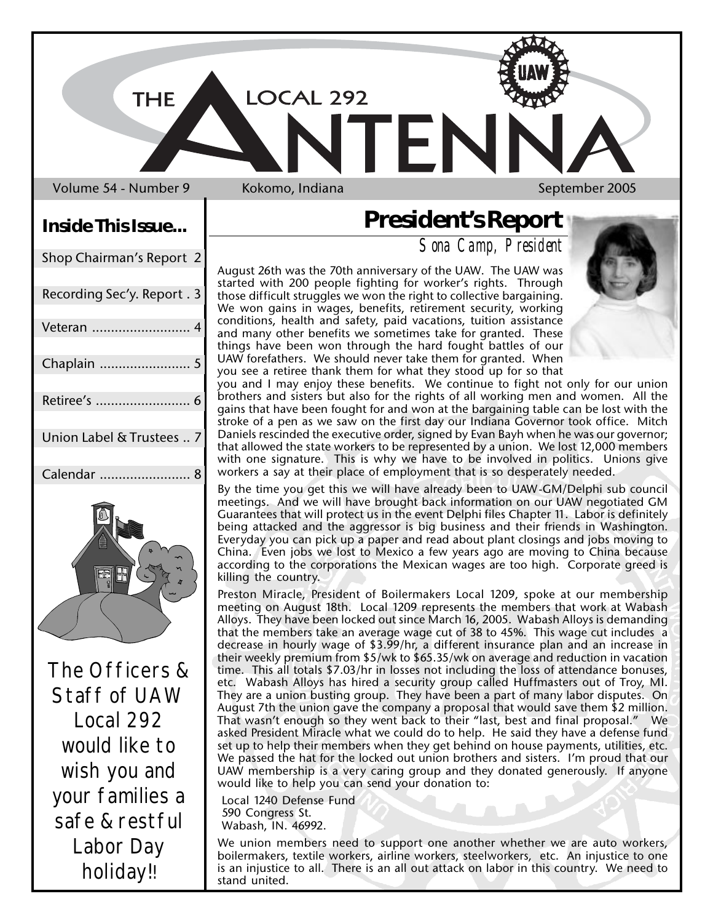LOCAL 292

Volume 54 - Number 9 Kokomo, Indiana New York Neptember 2005

**THE** 

# **Inside This Issue...**

| Shop Chairman's Report 2    |
|-----------------------------|
| Recording Sec'y. Report . 3 |
| Veteran                     |
| Chaplain                    |
| Retiree's<br>6              |
| Union Label & Trustees  7   |
| Calendar<br>8               |
| ₩                           |

The Officers & Staff of UAW Local 292 would like to wish you and your families a safe & restful Labor Day holiday!!

## **President's Report**

FN

*Sona Camp, President*

August 26th was the 70th anniversary of the UAW. The UAW was started with 200 people fighting for worker's rights. Through those difficult struggles we won the right to collective bargaining. We won gains in wages, benefits, retirement security, working conditions, health and safety, paid vacations, tuition assistance and many other benefits we sometimes take for granted. These things have been won through the hard fought battles of our UAW forefathers. We should never take them for granted. When you see a retiree thank them for what they stood up for so that

you and I may enjoy these benefits. We continue to fight not only for our union brothers and sisters but also for the rights of all working men and women. All the gains that have been fought for and won at the bargaining table can be lost with the stroke of a pen as we saw on the first day our Indiana Governor took office. Mitch Daniels rescinded the executive order, signed by Evan Bayh when he was our governor; that allowed the state workers to be represented by a union. We lost 12,000 members with one signature. This is why we have to be involved in politics. Unions give workers a say at their place of employment that is so desperately needed.

By the time you get this we will have already been to UAW-GM/Delphi sub council meetings. And we will have brought back information on our UAW negotiated GM Guarantees that will protect us in the event Delphi files Chapter 11. Labor is definitely being attacked and the aggressor is big business and their friends in Washington. Everyday you can pick up a paper and read about plant closings and jobs moving to China. Even jobs we lost to Mexico a few years ago are moving to China because according to the corporations the Mexican wages are too high. Corporate greed is killing the country.

Preston Miracle, President of Boilermakers Local 1209, spoke at our membership meeting on August 18th. Local 1209 represents the members that work at Wabash Alloys. They have been locked out since March 16, 2005. Wabash Alloys is demanding that the members take an average wage cut of 38 to 45%. This wage cut includes a decrease in hourly wage of \$3.99/hr, a different insurance plan and an increase in their weekly premium from \$5/wk to \$65.35/wk on average and reduction in vacation time. This all totals \$7.03/hr in losses not including the loss of attendance bonuses, etc. Wabash Alloys has hired a security group called Huffmasters out of Troy, MI. They are a union busting group. They have been a part of many labor disputes. On August 7th the union gave the company a proposal that would save them \$2 million. That wasn't enough so they went back to their "last, best and final proposal." We asked President Miracle what we could do to help. He said they have a defense fund set up to help their members when they get behind on house payments, utilities, etc. We passed the hat for the locked out union brothers and sisters. I'm proud that our UAW membership is a very caring group and they donated generously. If anyone would like to help you can send your donation to:

 Local 1240 Defense Fund 590 Congress St. Wabash, IN. 46992.

We union members need to support one another whether we are auto workers, boilermakers, textile workers, airline workers, steelworkers, etc. An injustice to one is an injustice to all. There is an all out attack on labor in this country. We need to stand united.

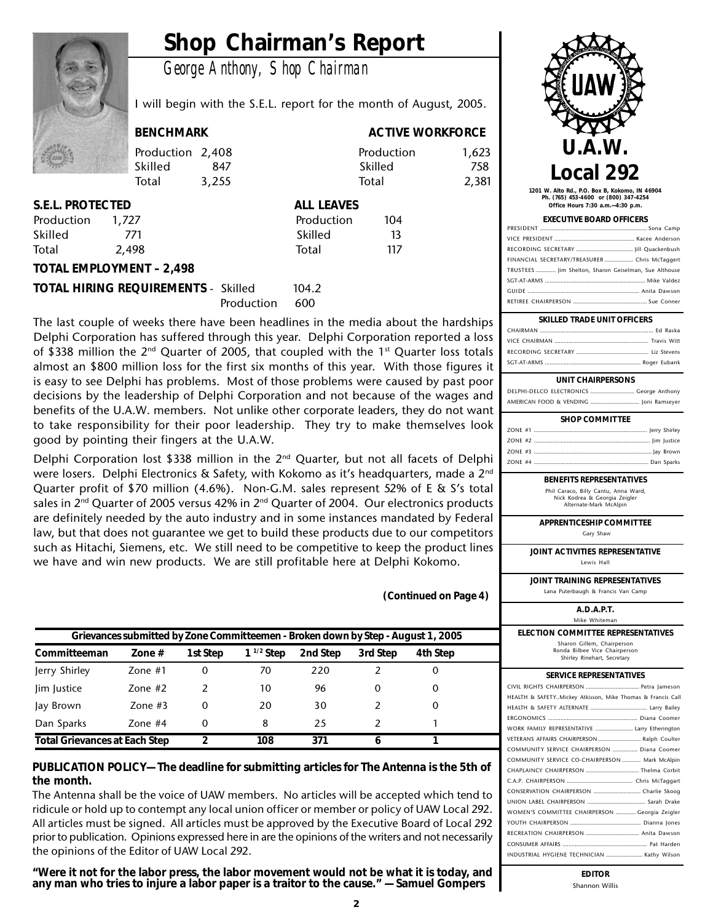## **Shop Chairman's Report**

*George Anthony, Shop Chairman*



I will begin with the S.E.L. report for the month of August, 2005.

Production 2,408 Production 1,623 Skilled 847 Skilled 758 Total 3,255 Total 2,381

**BENCHMARK BENCHMARK** ACTIVE WORKFORCE

| S.E.L. PROTECTED |       | <b>ALL LEAVES</b> |     |  |
|------------------|-------|-------------------|-----|--|
| Production       | 1.727 | Production        | 104 |  |
| hallid2          | 771   | <b>halliy</b>     | 13  |  |

| S.E.L. PROTECTED. |       | ALL LEAVES |     |
|-------------------|-------|------------|-----|
| Production        | 1.727 | Production | 104 |
| Skilled           | 771   | Skilled    | 13  |
| Total             | 2.498 | Total      | 117 |
|                   |       |            |     |

#### **TOTAL EMPLOYMENT – 2,498**

#### **TOTAL HIRING REQUIREMENTS - Skilled 104.2** Production 600

The last couple of weeks there have been headlines in the media about the hardships Delphi Corporation has suffered through this year. Delphi Corporation reported a loss of \$338 million the 2<sup>nd</sup> Quarter of 2005, that coupled with the 1<sup>st</sup> Quarter loss totals almost an \$800 million loss for the first six months of this year. With those figures it is easy to see Delphi has problems. Most of those problems were caused by past poor decisions by the leadership of Delphi Corporation and not because of the wages and benefits of the U.A.W. members. Not unlike other corporate leaders, they do not want to take responsibility for their poor leadership. They try to make themselves look good by pointing their fingers at the U.A.W.

Delphi Corporation lost \$338 million in the  $2<sup>nd</sup>$  Quarter, but not all facets of Delphi were losers. Delphi Electronics & Safety, with Kokomo as it's headquarters, made a 2<sup>nd</sup> Quarter profit of \$70 million (4.6%). Non-G.M. sales represent 52% of E & S's total sales in  $2<sup>nd</sup>$  Quarter of 2005 versus 42% in  $2<sup>nd</sup>$  Quarter of 2004. Our electronics products are definitely needed by the auto industry and in some instances mandated by Federal law, but that does not guarantee we get to build these products due to our competitors such as Hitachi, Siemens, etc. We still need to be competitive to keep the product lines we have and win new products. We are still profitable here at Delphi Kokomo.

**(Continued on Page 4)**

| Grievances submitted by Zone Committeemen - Broken down by Step - August 1, 2005 |           |          |                |          |          |          |  |  |
|----------------------------------------------------------------------------------|-----------|----------|----------------|----------|----------|----------|--|--|
| Committeeman                                                                     | Zone $#$  | 1st Step | $1^{1/2}$ Step | 2nd Step | 3rd Step | 4th Step |  |  |
| Jerry Shirley                                                                    | Zone $#1$ | 0        | 70             | 220      |          | O        |  |  |
| lim Justice                                                                      | Zone $#2$ | 2        | 10             | 96       | 0        | 0        |  |  |
| Jay Brown                                                                        | Zone $#3$ | 0        | 20             | 30       |          | $\Omega$ |  |  |
| Dan Sparks                                                                       | Zone $#4$ | 0        | 8              | 25       |          |          |  |  |
| <b>Total Grievances at Each Step</b>                                             |           | າ        | 108            | 371      | 6        |          |  |  |

#### **PUBLICATION POLICY— The deadline for submitting articles for The Antenna is the 5th of the month.**

The Antenna shall be the voice of UAW members. No articles will be accepted which tend to ridicule or hold up to contempt any local union officer or member or policy of UAW Local 292. All articles must be signed. All articles must be approved by the Executive Board of Local 292 prior to publication. Opinions expressed here in are the opinions of the writers and not necessarily the opinions of the Editor of UAW Local 292.

**"Were it not for the labor press, the labor movement would not be what it is today, and any man who tries to injure a labor paper is a traitor to the cause." — Samuel Gompers**



**1201 W. Alto Rd., P.O. Box B, Kokomo, IN 46904 Ph. (765) 453-4600 or (800) 347-4254 Office Hours 7:30 a.m.—4:30 p.m.**

#### **EXECUTIVE BOARD OFFICERS**

| FINANCIAL SECRETARY/TREASURER  Chris McTaggert        |
|-------------------------------------------------------|
| TRUSTEES  Jim Shelton, Sharon Geiselman, Sue Althouse |
|                                                       |
|                                                       |
|                                                       |
|                                                       |

#### **SKILLED TRADE UNIT OFFICERS**

#### **UNIT CHAIRPERSONS**

DELPHI-DELCO ELECTRONICS ............................ George Anthony AMERICAN FOOD & VENDING ............................... Joni Ramseyer

| <b>SHOP COMMITTEE</b> |  |
|-----------------------|--|
|                       |  |
|                       |  |
|                       |  |
|                       |  |

### **BENEFITS REPRESENTATIVES**

Phil Caraco, Billy Cantu, Anna Ward, Nick Kodrea & Georgia Zeigler Alternate-Mark McAlpin

**APPRENTICESHIP COMMITTEE** Gary Shaw

**JOINT ACTIVITIES REPRESENTATIVE** Lewis Hall

**JOINT TRAINING REPRESENTATIVES** Lana Puterbaugh & Francis Van Camp

**A.D.A.P.T.**

```
Mike Whiteman
```
**ELECTION COMMITTEE REPRESENTATIVES** Sharon Gillem, Chairperson

Ronda Bilbee Vice Chairperson Shirley Rinehart, Secretary

#### **SERVICE REPRESENTATIVES**

| HEALTH & SAFETYMickey Atkisson, Mike Thomas & Francis Call |
|------------------------------------------------------------|
|                                                            |
|                                                            |
| WORK FAMILY REPRESENTATIVE  Larry Etherington              |
| VETERANS AFFAIRS CHAIRPERSON  Ralph Coulter                |
| COMMUNITY SERVICE CHAIRPERSON  Diana Coomer                |
| COMMUNITY SERVICE CO-CHAIRPERSON  Mark McAlpin             |
|                                                            |
|                                                            |
| CONSERVATION CHAIRPERSON  Charlie Skoog                    |
|                                                            |
| WOMEN'S COMMITTEE CHAIRPERSON  Georgia Zeigler             |
|                                                            |
|                                                            |
|                                                            |
| INDUSTRIAL HYGIENE TECHNICIAN  Kathy Wilson                |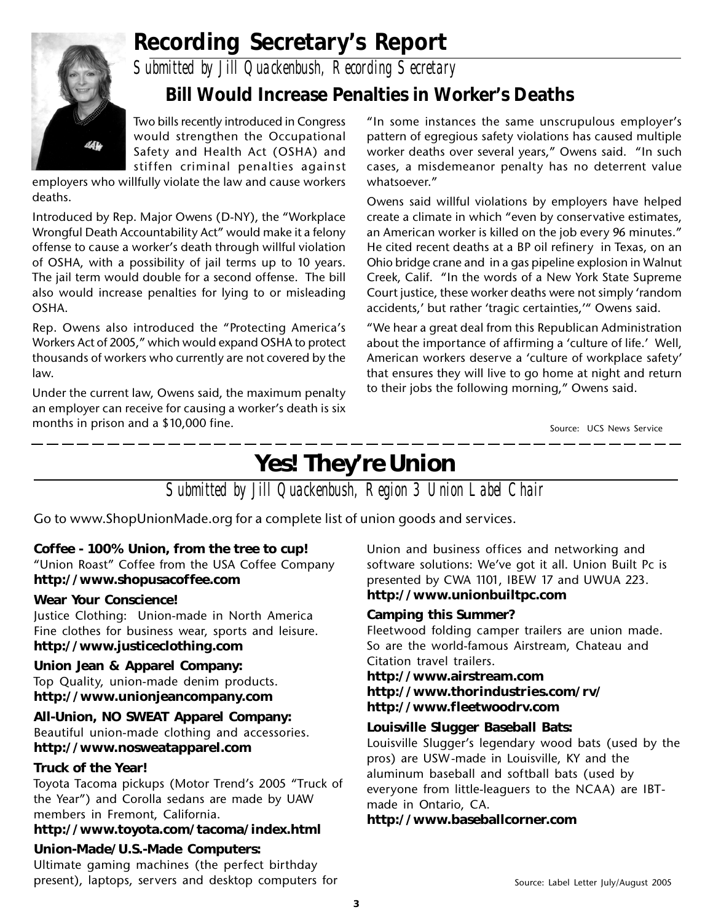

## **Recording Secretary's Report**

*Submitted by Jill Quackenbush, Recording Secretary*

## **Bill Would Increase Penalties in Worker's Deaths**

Two bills recently introduced in Congress would strengthen the Occupational Safety and Health Act (OSHA) and stiffen criminal penalties against

employers who willfully violate the law and cause workers deaths.

Introduced by Rep. Major Owens (D-NY), the "Workplace Wrongful Death Accountability Act" would make it a felony offense to cause a worker's death through willful violation of OSHA, with a possibility of jail terms up to 10 years. The jail term would double for a second offense. The bill also would increase penalties for lying to or misleading OSHA.

Rep. Owens also introduced the "Protecting America's Workers Act of 2005," which would expand OSHA to protect thousands of workers who currently are not covered by the law.

Under the current law, Owens said, the maximum penalty an employer can receive for causing a worker's death is six months in prison and a \$10,000 fine. Source: UCS News Service

"In some instances the same unscrupulous employer's pattern of egregious safety violations has caused multiple worker deaths over several years," Owens said. "In such cases, a misdemeanor penalty has no deterrent value whatsoever."

Owens said willful violations by employers have helped create a climate in which "even by conservative estimates, an American worker is killed on the job every 96 minutes." He cited recent deaths at a BP oil refinery in Texas, on an Ohio bridge crane and in a gas pipeline explosion in Walnut Creek, Calif. "In the words of a New York State Supreme Court justice, these worker deaths were not simply 'random accidents,' but rather 'tragic certainties,'" Owens said.

"We hear a great deal from this Republican Administration about the importance of affirming a 'culture of life.' Well, American workers deserve a 'culture of workplace safety' that ensures they will live to go home at night and return to their jobs the following morning," Owens said.

## **Yes! They're Union**

*Submitted by Jill Quackenbush, Region 3 Union Label Chair*

Go to www.ShopUnionMade.org for a complete list of union goods and services.

#### **Coffee - 100% Union, from the tree to cup!**

"Union Roast" Coffee from the USA Coffee Company **http://www.shopusacoffee.com**

#### **Wear Your Conscience!**

Justice Clothing: Union-made in North America Fine clothes for business wear, sports and leisure. **http://www.justiceclothing.com**

#### **Union Jean & Apparel Company:**

Top Quality, union-made denim products. **http://www.unionjeancompany.com**

**All-Union, NO SWEAT Apparel Company:** Beautiful union-made clothing and accessories.

#### **http://www.nosweatapparel.com**

#### **Truck of the Year!**

Toyota Tacoma pickups (Motor Trend's 2005 "Truck of the Year") and Corolla sedans are made by UAW members in Fremont, California.

#### **http://www.toyota.com/tacoma/index.html**

### **Union-Made/U.S.-Made Computers:**

Ultimate gaming machines (the perfect birthday present), laptops, servers and desktop computers for

Union and business offices and networking and software solutions: We've got it all. Union Built Pc is presented by CWA 1101, IBEW 17 and UWUA 223. **http://www.unionbuiltpc.com**

### **Camping this Summer?**

Fleetwood folding camper trailers are union made. So are the world-famous Airstream, Chateau and Citation travel trailers.

#### **http://www.airstream.com http://www.thorindustries.com/rv/ http://www.fleetwoodrv.com**

#### **Louisville Slugger Baseball Bats:**

Louisville Slugger's legendary wood bats (used by the pros) are USW-made in Louisville, KY and the aluminum baseball and softball bats (used by everyone from little-leaguers to the NCAA) are IBTmade in Ontario, CA.

### **http://www.baseballcorner.com**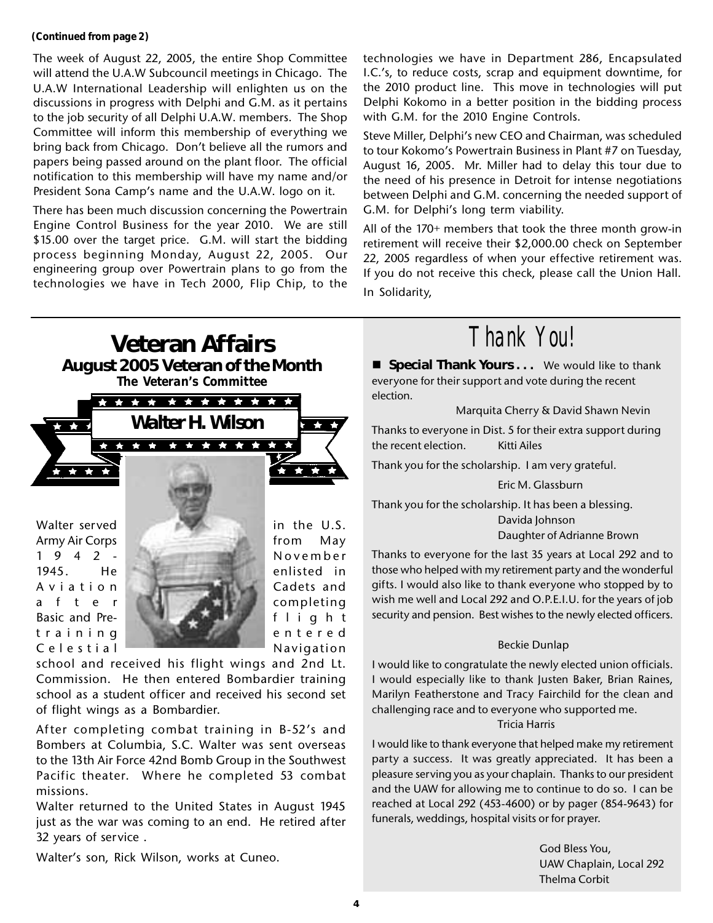#### **(Continued from page 2)**

The week of August 22, 2005, the entire Shop Committee will attend the U.A.W Subcouncil meetings in Chicago. The U.A.W International Leadership will enlighten us on the discussions in progress with Delphi and G.M. as it pertains to the job security of all Delphi U.A.W. members. The Shop Committee will inform this membership of everything we bring back from Chicago. Don't believe all the rumors and papers being passed around on the plant floor. The official notification to this membership will have my name and/or President Sona Camp's name and the U.A.W. logo on it.

There has been much discussion concerning the Powertrain Engine Control Business for the year 2010. We are still \$15.00 over the target price. G.M. will start the bidding process beginning Monday, August 22, 2005. Our engineering group over Powertrain plans to go from the technologies we have in Tech 2000, Flip Chip, to the technologies we have in Department 286, Encapsulated I.C.'s, to reduce costs, scrap and equipment downtime, for the 2010 product line. This move in technologies will put Delphi Kokomo in a better position in the bidding process with G.M. for the 2010 Engine Controls.

Steve Miller, Delphi's new CEO and Chairman, was scheduled to tour Kokomo's Powertrain Business in Plant #7 on Tuesday, August 16, 2005. Mr. Miller had to delay this tour due to the need of his presence in Detroit for intense negotiations between Delphi and G.M. concerning the needed support of G.M. for Delphi's long term viability.

All of the 170+ members that took the three month grow-in retirement will receive their \$2,000.00 check on September 22, 2005 regardless of when your effective retirement was. If you do not receive this check, please call the Union Hall. In Solidarity,



Commission. He then entered Bombardier training school as a student officer and received his second set of flight wings as a Bombardier.

After completing combat training in B-52's and Bombers at Columbia, S.C. Walter was sent overseas to the 13th Air Force 42nd Bomb Group in the Southwest Pacific theater. Where he completed 53 combat missions.

Walter returned to the United States in August 1945 just as the war was coming to an end. He retired after 32 years of service .

Walter's son, Rick Wilson, works at Cuneo.

# *Thank You!*

**E** Special Thank Yours . . . We would like to thank everyone for their support and vote during the recent election.

Marquita Cherry & David Shawn Nevin

Thanks to everyone in Dist. 5 for their extra support during the recent election. Kitti Ailes

Thank you for the scholarship. I am very grateful.

Eric M. Glassburn

Thank you for the scholarship. It has been a blessing. Davida Johnson

Daughter of Adrianne Brown

Thanks to everyone for the last 35 years at Local 292 and to those who helped with my retirement party and the wonderful gifts. I would also like to thank everyone who stopped by to wish me well and Local 292 and O.P.E.I.U. for the years of job security and pension. Best wishes to the newly elected officers.

#### Beckie Dunlap

I would like to congratulate the newly elected union officials. I would especially like to thank Justen Baker, Brian Raines, Marilyn Featherstone and Tracy Fairchild for the clean and challenging race and to everyone who supported me. Tricia Harris

I would like to thank everyone that helped make my retirement party a success. It was greatly appreciated. It has been a pleasure serving you as your chaplain. Thanks to our president and the UAW for allowing me to continue to do so. I can be reached at Local 292 (453-4600) or by pager (854-9643) for funerals, weddings, hospital visits or for prayer.

> God Bless You, UAW Chaplain, Local 292 Thelma Corbit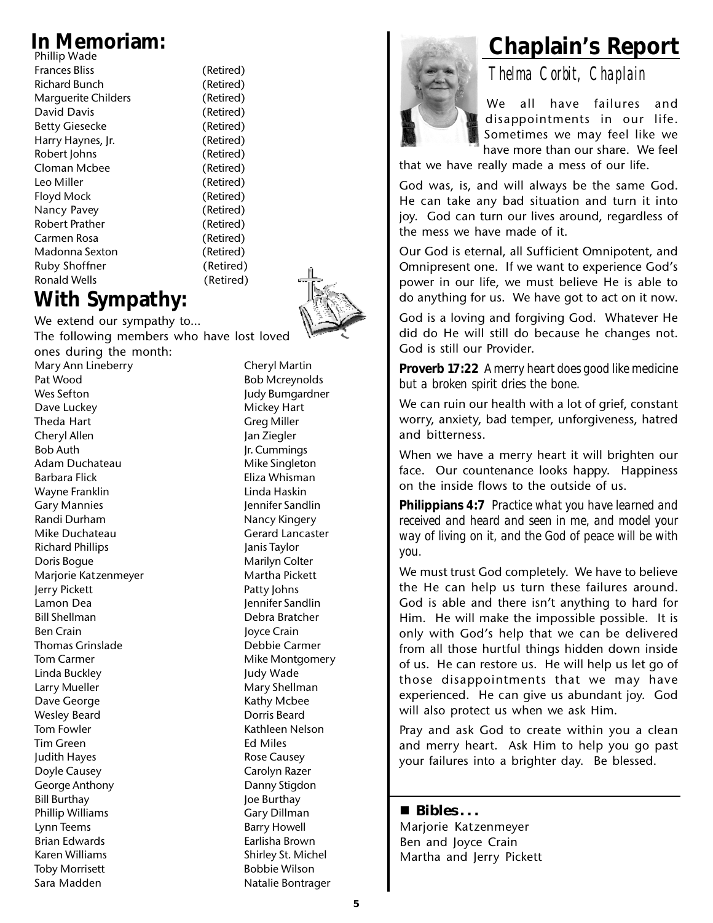| Phillip Wade          |
|-----------------------|
| <b>Frances Bliss</b>  |
| Richard Bunch         |
| Marguerite Childers   |
| David Davis           |
| <b>Betty Giesecke</b> |
| Harry Haynes, Jr.     |
| Robert Johns          |
| Cloman Mcbee          |
| I eo Miller           |
| Floyd Mock            |
| Nancy Pavey           |
| Robert Prather        |
| Carmen Rosa           |
| Madonna Sexton        |
| Ruby Shoffner         |
| Ronald Wells          |
|                       |

(Retired) (Retired) (Retired) (Retired) (Retired) (Retired) (Retired) (Retired) (Retired) (Retired) (Retired)

(Retired)

(Retired) (Retired) (Retired) (Retired)

## **With Sympathy:**

We extend our sympathy to… The following members who have lost loved ones during the month: Mary Ann Lineberry **Cheryl Martin** Pat Wood Bob Mcreynolds Wes Sefton **Judy Bumgardner** Dave Luckey **Mickey Hart** Theda Hart Greg Miller Cheryl Allen Jan Ziegler Bob Auth **Jr. Cummings** Adam Duchateau Mike Singleton Barbara Flick **Eliza Whisman** Wayne Franklin **Linda Haskin** Gary Mannies **Gary Mannies** Jennifer Sandlin Randi Durham Nancy Kingery Mike Duchateau Gerard Lancaster Richard Phillips Janis Taylor Doris Boque **Marilyn Colter** Marjorie Katzenmeyer Martha Pickett Jerry Pickett **Patty Johns** Lamon Dea Jennifer Sandlin Bill Shellman Debra Bratcher Ben Crain and Joyce Crain Thomas Grinslade **Debbie Carmer** Tom Carmer **Mike Montgomery** Linda Buckley **Judy Wade** Larry Mueller **Mary Shellman** Dave George **Kathy Mcbee** Wesley Beard **Dorris Beard** Tom Fowler **Kathleen Nelson** Tim Green **Ed Miles** Judith Hayes **Rose Causey** Doyle Causey **Carolyn Razer** Carolyn Razer George Anthony **Danny Stigdon** Bill Burthay **Joe Burthay** Phillip Williams Gary Dillman<br>
Lynn Teems Garry Howell

Toby Morrisett **Bobbie Wilson** Sara Madden Natalie Bontrager

Barry Howell Brian Edwards **Example 20** Earlisha Brown Karen Williams Shirley St. Michel



We all have failures and disappointments in our life. Sometimes we may feel like we have more than our share. We feel

that we have really made a mess of our life.

God was, is, and will always be the same God. He can take any bad situation and turn it into joy. God can turn our lives around, regardless of the mess we have made of it.

Our God is eternal, all Sufficient Omnipotent, and Omnipresent one. If we want to experience God's power in our life, we must believe He is able to do anything for us. We have got to act on it now.

God is a loving and forgiving God. Whatever He did do He will still do because he changes not. God is still our Provider.

**Proverb 17:22** *A merry heart does good like medicine but a broken spirit dries the bone.*

We can ruin our health with a lot of grief, constant worry, anxiety, bad temper, unforgiveness, hatred and bitterness.

When we have a merry heart it will brighten our face. Our countenance looks happy. Happiness on the inside flows to the outside of us.

**Philippians 4:7** *Practice what you have learned and received and heard and seen in me, and model your way of living on it, and the God of peace will be with you.*

We must trust God completely. We have to believe the He can help us turn these failures around. God is able and there isn't anything to hard for Him. He will make the impossible possible. It is only with God's help that we can be delivered from all those hurtful things hidden down inside of us. He can restore us. He will help us let go of those disappointments that we may have experienced. He can give us abundant joy. God will also protect us when we ask Him.

Pray and ask God to create within you a clean and merry heart. Ask Him to help you go past your failures into a brighter day. Be blessed.

#### **Bibles . . .**

Marjorie Katzenmeyer Ben and Joyce Crain Martha and Jerry Pickett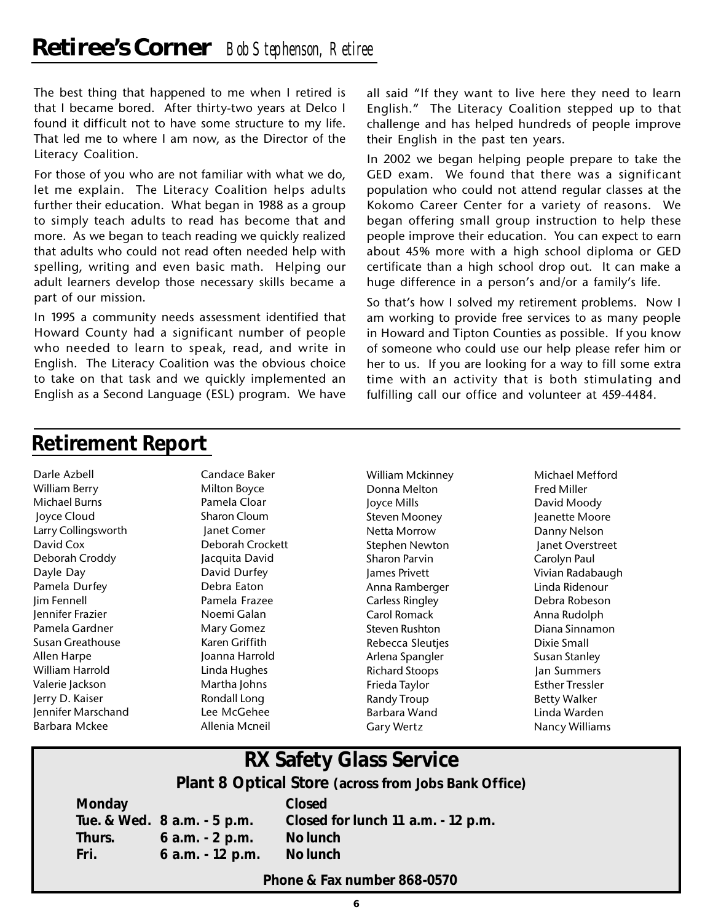The best thing that happened to me when I retired is that I became bored. After thirty-two years at Delco I found it difficult not to have some structure to my life. That led me to where I am now, as the Director of the Literacy Coalition.

For those of you who are not familiar with what we do, let me explain. The Literacy Coalition helps adults further their education. What began in 1988 as a group to simply teach adults to read has become that and more. As we began to teach reading we quickly realized that adults who could not read often needed help with spelling, writing and even basic math. Helping our adult learners develop those necessary skills became a part of our mission.

In 1995 a community needs assessment identified that Howard County had a significant number of people who needed to learn to speak, read, and write in English. The Literacy Coalition was the obvious choice to take on that task and we quickly implemented an English as a Second Language (ESL) program. We have

all said "If they want to live here they need to learn English." The Literacy Coalition stepped up to that challenge and has helped hundreds of people improve their English in the past ten years.

In 2002 we began helping people prepare to take the GED exam. We found that there was a significant population who could not attend regular classes at the Kokomo Career Center for a variety of reasons. We began offering small group instruction to help these people improve their education. You can expect to earn about 45% more with a high school diploma or GED certificate than a high school drop out. It can make a huge difference in a person's and/or a family's life.

So that's how I solved my retirement problems. Now I am working to provide free services to as many people in Howard and Tipton Counties as possible. If you know of someone who could use our help please refer him or her to us. If you are looking for a way to fill some extra time with an activity that is both stimulating and fulfilling call our office and volunteer at 459-4484.

## **Retirement Report**

Darle Azbell Candace Baker William Berry **Milton Boyce** Michael Burns **Pamela Cloar**  Joyce Cloud Sharon Cloum Larry Collingsworth Janet Comer David Cox Deborah Crockett Deborah Croddy Jacquita David Dayle Day **David Durfey** Pamela Durfey **Debra Eaton** Jim Fennell Pamela Frazee Jennifer Frazier Noemi Galan Pamela Gardner Mary Gomez Susan Greathouse Karen Griffith Allen Harpe **Joanna Harrold** William Harrold Linda Hughes Valerie Jackson Martha Johns Jerry D. Kaiser **Rondall Long** Jennifer Marschand Lee McGehee Barbara Mckee Allenia Mcneil

William Mckinney Michael Mefford Donna Melton Fred Miller Joyce Mills David Moody Steven Mooney **Jeanette Moore** Netta Morrow Danny Nelson Stephen Newton Janet Overstreet Sharon Parvin **Carolyn Paul** James Privett Vivian Radabaugh Anna Ramberger Linda Ridenour Carless Ringley Debra Robeson Carol Romack Anna Rudolph Steven Rushton **Diana Sinnamon** Rebecca Sleuties **Dixie Small** Arlena Spangler Susan Stanley Richard Stoops Jan Summers Frieda Taylor **Esther Tressler** Randy Troup Betty Walker Barbara Wand Linda Warden

Gary Wertz **Nancy Williams** 

## **RX Safety Glass Service**

**Plant 8 Optical Store (across from Jobs Bank Office)**

**Monday Closed Tue. & Wed. 8 a.m. - 5 p.m. Closed for lunch 11 a.m. - 12 p.m. Thurs. 6 a.m. - 2 p.m. No lunch Fri. 6 a.m. - 12 p.m. No lunch**

**Phone & Fax number 868-0570**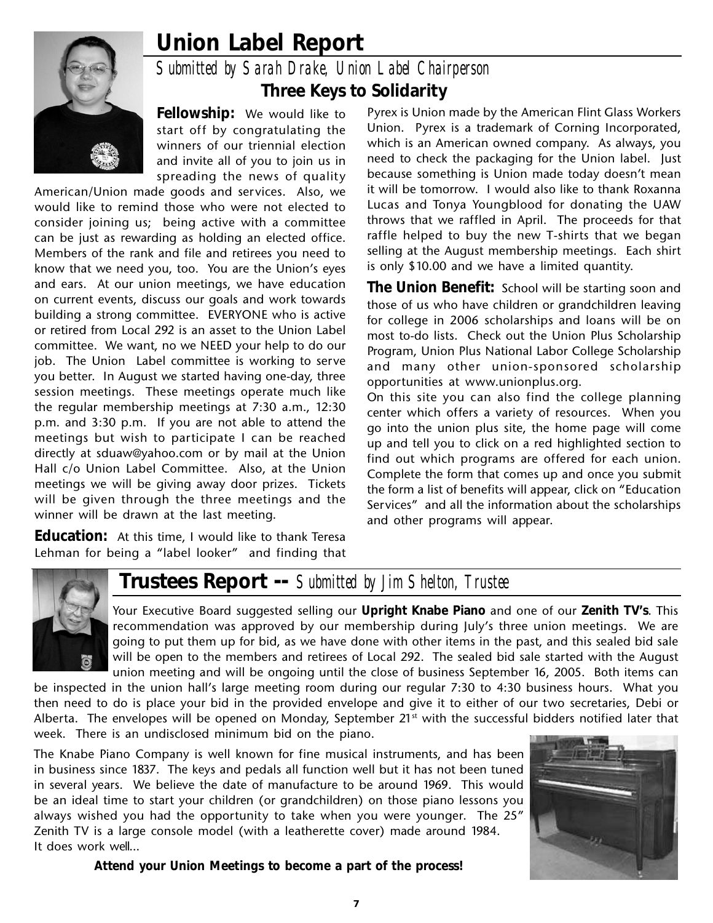## **Union Label Report** *Submitted by Sarah Drake, Union Label Chairperson* **Three Keys to Solidarity**

**Fellowship:** We would like to start off by congratulating the winners of our triennial election and invite all of you to join us in spreading the news of quality

American/Union made goods and services. Also, we would like to remind those who were not elected to consider joining us; being active with a committee can be just as rewarding as holding an elected office. Members of the rank and file and retirees you need to know that we need you, too. You are the Union's eyes and ears. At our union meetings, we have education on current events, discuss our goals and work towards building a strong committee. EVERYONE who is active or retired from Local 292 is an asset to the Union Label committee. We want, no we NEED your help to do our job. The Union Label committee is working to serve you better. In August we started having one-day, three session meetings. These meetings operate much like the regular membership meetings at 7:30 a.m., 12:30 p.m. and 3:30 p.m. If you are not able to attend the meetings but wish to participate I can be reached directly at sduaw@yahoo.com or by mail at the Union Hall c/o Union Label Committee. Also, at the Union meetings we will be giving away door prizes. Tickets will be given through the three meetings and the winner will be drawn at the last meeting.

**Education:** At this time, I would like to thank Teresa Lehman for being a "label looker" and finding that

Pyrex is Union made by the American Flint Glass Workers Union. Pyrex is a trademark of Corning Incorporated, which is an American owned company. As always, you need to check the packaging for the Union label. Just because something is Union made today doesn't mean it will be tomorrow. I would also like to thank Roxanna Lucas and Tonya Youngblood for donating the UAW throws that we raffled in April. The proceeds for that raffle helped to buy the new T-shirts that we began selling at the August membership meetings. Each shirt is only \$10.00 and we have a limited quantity.

**The Union Benefit:** School will be starting soon and those of us who have children or grandchildren leaving for college in 2006 scholarships and loans will be on most to-do lists. Check out the Union Plus Scholarship Program, Union Plus National Labor College Scholarship and many other union-sponsored scholarship opportunities at www.unionplus.org.

On this site you can also find the college planning center which offers a variety of resources. When you go into the union plus site, the home page will come up and tell you to click on a red highlighted section to find out which programs are offered for each union. Complete the form that comes up and once you submit the form a list of benefits will appear, click on "Education Services" and all the information about the scholarships and other programs will appear.



## **Trustees Report --** *Submitted by Jim Shelton, Trustee*

Your Executive Board suggested selling our **Upright Knabe Piano** and one of our **Zenith TV's**. This recommendation was approved by our membership during July's three union meetings. We are going to put them up for bid, as we have done with other items in the past, and this sealed bid sale will be open to the members and retirees of Local 292. The sealed bid sale started with the August union meeting and will be ongoing until the close of business September 16, 2005. Both items can

be inspected in the union hall's large meeting room during our regular 7:30 to 4:30 business hours. What you then need to do is place your bid in the provided envelope and give it to either of our two secretaries, Debi or Alberta. The envelopes will be opened on Monday, September  $21<sup>st</sup>$  with the successful bidders notified later that week. There is an undisclosed minimum bid on the piano.

The Knabe Piano Company is well known for fine musical instruments, and has been in business since 1837. The keys and pedals all function well but it has not been tuned in several years. We believe the date of manufacture to be around 1969. This would be an ideal time to start your children (or grandchildren) on those piano lessons you always wished you had the opportunity to take when you were younger. The 25" Zenith TV is a large console model (with a leatherette cover) made around 1984. It does work well…



**Attend your Union Meetings to become a part of the process!**